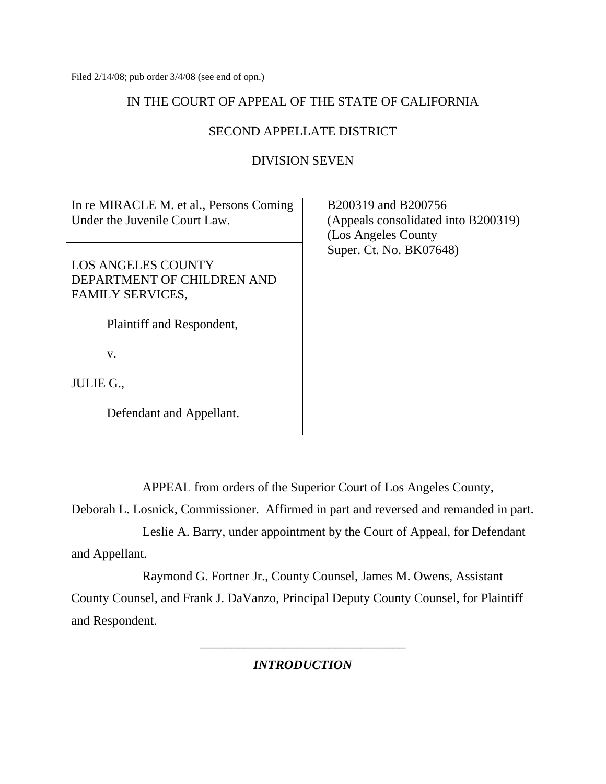Filed 2/14/08; pub order 3/4/08 (see end of opn.)

# IN THE COURT OF APPEAL OF THE STATE OF CALIFORNIA

# SECOND APPELLATE DISTRICT

## DIVISION SEVEN

In re MIRACLE M. et al., Persons Coming Under the Juvenile Court Law.

LOS ANGELES COUNTY DEPARTMENT OF CHILDREN AND FAMILY SERVICES,

Plaintiff and Respondent,

v.

JULIE G.,

Defendant and Appellant.

 B200319 and B200756 (Appeals consolidated into B200319) (Los Angeles County Super. Ct. No. BK07648)

APPEAL from orders of the Superior Court of Los Angeles County,

Deborah L. Losnick, Commissioner. Affirmed in part and reversed and remanded in part.

 Leslie A. Barry, under appointment by the Court of Appeal, for Defendant and Appellant.

 Raymond G. Fortner Jr., County Counsel, James M. Owens, Assistant County Counsel, and Frank J. DaVanzo, Principal Deputy County Counsel, for Plaintiff and Respondent.

*INTRODUCTION* 

\_\_\_\_\_\_\_\_\_\_\_\_\_\_\_\_\_\_\_\_\_\_\_\_\_\_\_\_\_\_\_\_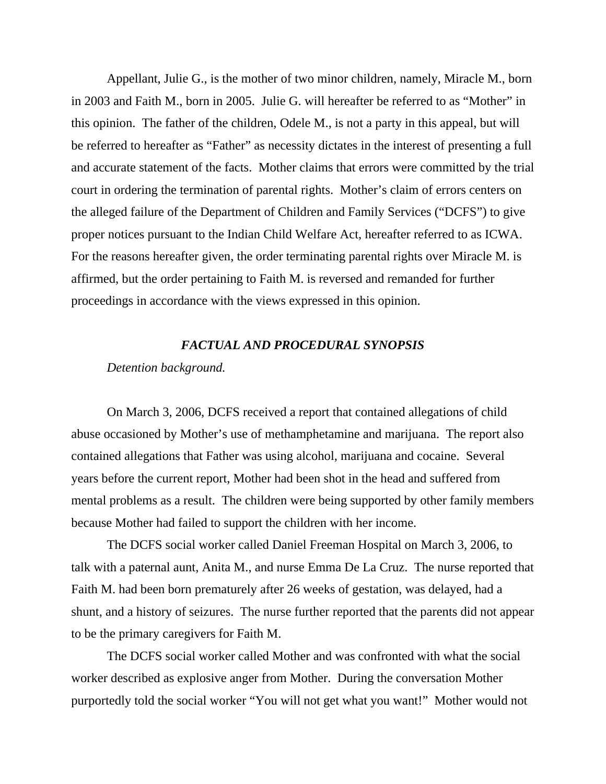Appellant, Julie G., is the mother of two minor children, namely, Miracle M., born in 2003 and Faith M., born in 2005. Julie G. will hereafter be referred to as "Mother" in this opinion. The father of the children, Odele M., is not a party in this appeal, but will be referred to hereafter as "Father" as necessity dictates in the interest of presenting a full and accurate statement of the facts. Mother claims that errors were committed by the trial court in ordering the termination of parental rights. Mother's claim of errors centers on the alleged failure of the Department of Children and Family Services ("DCFS") to give proper notices pursuant to the Indian Child Welfare Act, hereafter referred to as ICWA. For the reasons hereafter given, the order terminating parental rights over Miracle M. is affirmed, but the order pertaining to Faith M. is reversed and remanded for further proceedings in accordance with the views expressed in this opinion.

#### *FACTUAL AND PROCEDURAL SYNOPSIS*

#### *Detention background.*

On March 3, 2006, DCFS received a report that contained allegations of child abuse occasioned by Mother's use of methamphetamine and marijuana. The report also contained allegations that Father was using alcohol, marijuana and cocaine. Several years before the current report, Mother had been shot in the head and suffered from mental problems as a result. The children were being supported by other family members because Mother had failed to support the children with her income.

 The DCFS social worker called Daniel Freeman Hospital on March 3, 2006, to talk with a paternal aunt, Anita M., and nurse Emma De La Cruz. The nurse reported that Faith M. had been born prematurely after 26 weeks of gestation, was delayed, had a shunt, and a history of seizures. The nurse further reported that the parents did not appear to be the primary caregivers for Faith M.

 The DCFS social worker called Mother and was confronted with what the social worker described as explosive anger from Mother. During the conversation Mother purportedly told the social worker "You will not get what you want!" Mother would not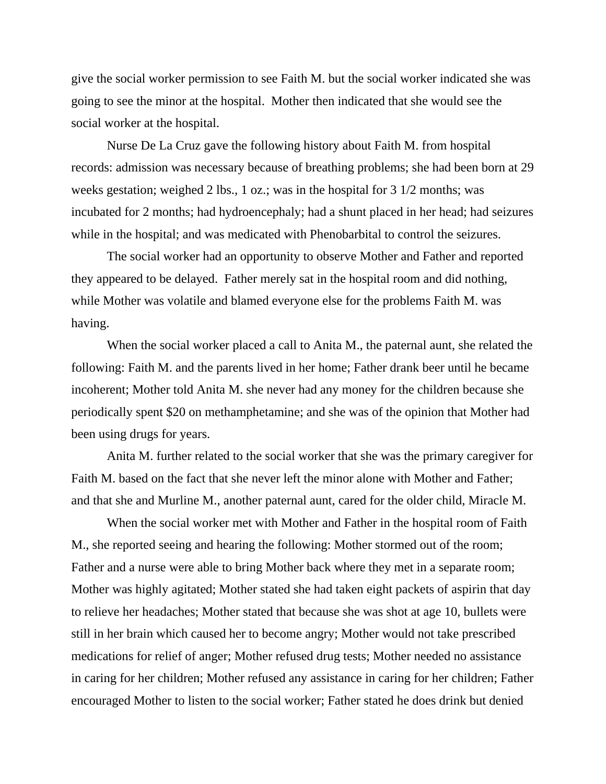give the social worker permission to see Faith M. but the social worker indicated she was going to see the minor at the hospital. Mother then indicated that she would see the social worker at the hospital.

 Nurse De La Cruz gave the following history about Faith M. from hospital records: admission was necessary because of breathing problems; she had been born at 29 weeks gestation; weighed 2 lbs., 1 oz.; was in the hospital for 3 1/2 months; was incubated for 2 months; had hydroencephaly; had a shunt placed in her head; had seizures while in the hospital; and was medicated with Phenobarbital to control the seizures.

 The social worker had an opportunity to observe Mother and Father and reported they appeared to be delayed. Father merely sat in the hospital room and did nothing, while Mother was volatile and blamed everyone else for the problems Faith M. was having.

 When the social worker placed a call to Anita M., the paternal aunt, she related the following: Faith M. and the parents lived in her home; Father drank beer until he became incoherent; Mother told Anita M. she never had any money for the children because she periodically spent \$20 on methamphetamine; and she was of the opinion that Mother had been using drugs for years.

 Anita M. further related to the social worker that she was the primary caregiver for Faith M. based on the fact that she never left the minor alone with Mother and Father; and that she and Murline M., another paternal aunt, cared for the older child, Miracle M.

 When the social worker met with Mother and Father in the hospital room of Faith M., she reported seeing and hearing the following: Mother stormed out of the room; Father and a nurse were able to bring Mother back where they met in a separate room; Mother was highly agitated; Mother stated she had taken eight packets of aspirin that day to relieve her headaches; Mother stated that because she was shot at age 10, bullets were still in her brain which caused her to become angry; Mother would not take prescribed medications for relief of anger; Mother refused drug tests; Mother needed no assistance in caring for her children; Mother refused any assistance in caring for her children; Father encouraged Mother to listen to the social worker; Father stated he does drink but denied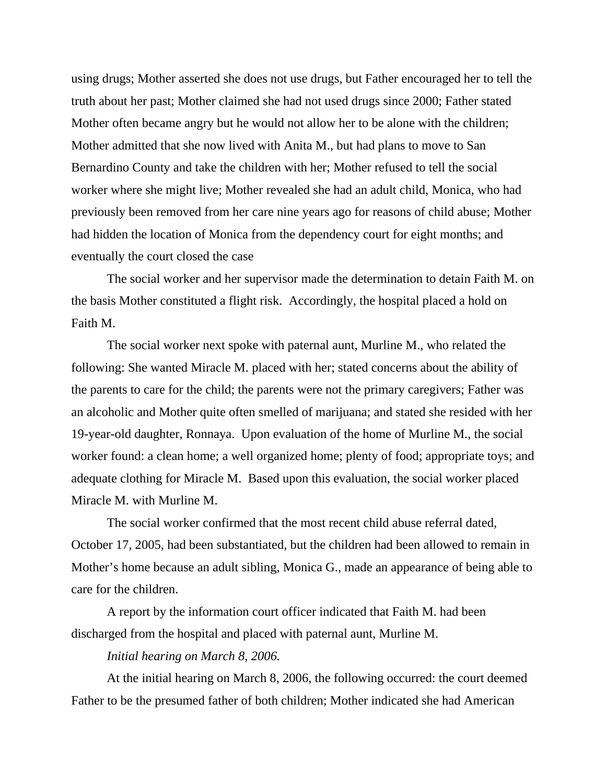using drugs; Mother asserted she does not use drugs, but Father encouraged her to tell the truth about her past; Mother claimed she had not used drugs since 2000; Father stated Mother often became angry but he would not allow her to be alone with the children; Mother admitted that she now lived with Anita M., but had plans to move to San Bernardino County and take the children with her; Mother refused to tell the social worker where she might live; Mother revealed she had an adult child, Monica, who had previously been removed from her care nine years ago for reasons of child abuse; Mother had hidden the location of Monica from the dependency court for eight months; and eventually the court closed the case

 The social worker and her supervisor made the determination to detain Faith M. on the basis Mother constituted a flight risk. Accordingly, the hospital placed a hold on Faith M.

 The social worker next spoke with paternal aunt, Murline M., who related the following: She wanted Miracle M. placed with her; stated concerns about the ability of the parents to care for the child; the parents were not the primary caregivers; Father was an alcoholic and Mother quite often smelled of marijuana; and stated she resided with her 19-year-old daughter, Ronnaya. Upon evaluation of the home of Murline M., the social worker found: a clean home; a well organized home; plenty of food; appropriate toys; and adequate clothing for Miracle M. Based upon this evaluation, the social worker placed Miracle M. with Murline M.

 The social worker confirmed that the most recent child abuse referral dated, October 17, 2005, had been substantiated, but the children had been allowed to remain in Mother's home because an adult sibling, Monica G., made an appearance of being able to care for the children.

 A report by the information court officer indicated that Faith M. had been discharged from the hospital and placed with paternal aunt, Murline M.

## *Initial hearing on March 8, 2006.*

At the initial hearing on March 8, 2006, the following occurred: the court deemed Father to be the presumed father of both children; Mother indicated she had American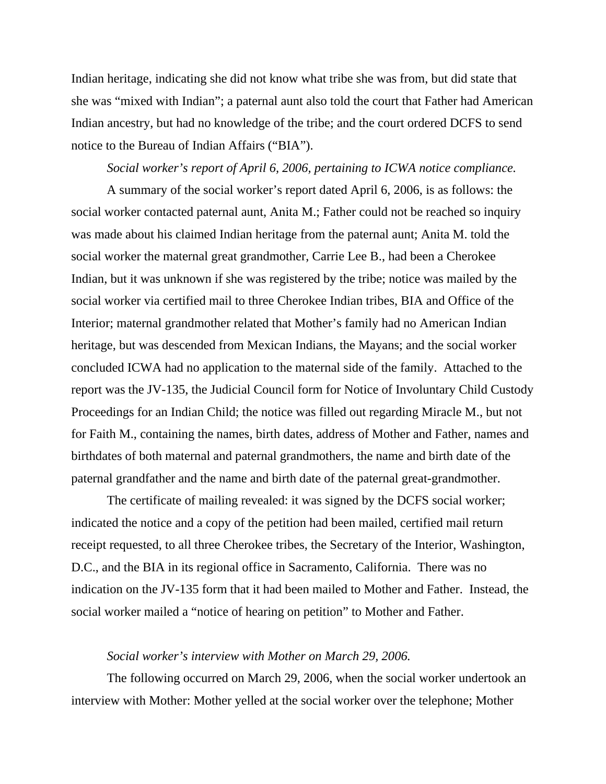Indian heritage, indicating she did not know what tribe she was from, but did state that she was "mixed with Indian"; a paternal aunt also told the court that Father had American Indian ancestry, but had no knowledge of the tribe; and the court ordered DCFS to send notice to the Bureau of Indian Affairs ("BIA").

## *Social worker's report of April 6, 2006, pertaining to ICWA notice compliance.*

A summary of the social worker's report dated April 6, 2006, is as follows: the social worker contacted paternal aunt, Anita M.; Father could not be reached so inquiry was made about his claimed Indian heritage from the paternal aunt; Anita M. told the social worker the maternal great grandmother, Carrie Lee B., had been a Cherokee Indian, but it was unknown if she was registered by the tribe; notice was mailed by the social worker via certified mail to three Cherokee Indian tribes, BIA and Office of the Interior; maternal grandmother related that Mother's family had no American Indian heritage, but was descended from Mexican Indians, the Mayans; and the social worker concluded ICWA had no application to the maternal side of the family. Attached to the report was the JV-135, the Judicial Council form for Notice of Involuntary Child Custody Proceedings for an Indian Child; the notice was filled out regarding Miracle M., but not for Faith M., containing the names, birth dates, address of Mother and Father, names and birthdates of both maternal and paternal grandmothers, the name and birth date of the paternal grandfather and the name and birth date of the paternal great-grandmother.

 The certificate of mailing revealed: it was signed by the DCFS social worker; indicated the notice and a copy of the petition had been mailed, certified mail return receipt requested, to all three Cherokee tribes, the Secretary of the Interior, Washington, D.C., and the BIA in its regional office in Sacramento, California. There was no indication on the JV-135 form that it had been mailed to Mother and Father. Instead, the social worker mailed a "notice of hearing on petition" to Mother and Father.

## *Social worker's interview with Mother on March 29, 2006.*

The following occurred on March 29, 2006, when the social worker undertook an interview with Mother: Mother yelled at the social worker over the telephone; Mother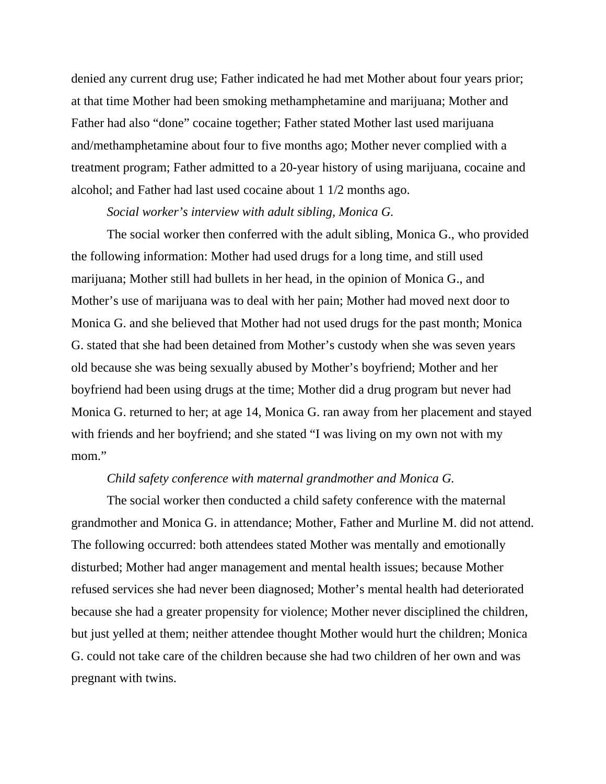denied any current drug use; Father indicated he had met Mother about four years prior; at that time Mother had been smoking methamphetamine and marijuana; Mother and Father had also "done" cocaine together; Father stated Mother last used marijuana and/methamphetamine about four to five months ago; Mother never complied with a treatment program; Father admitted to a 20-year history of using marijuana, cocaine and alcohol; and Father had last used cocaine about 1 1/2 months ago.

## *Social worker's interview with adult sibling, Monica G.*

The social worker then conferred with the adult sibling, Monica G., who provided the following information: Mother had used drugs for a long time, and still used marijuana; Mother still had bullets in her head, in the opinion of Monica G., and Mother's use of marijuana was to deal with her pain; Mother had moved next door to Monica G. and she believed that Mother had not used drugs for the past month; Monica G. stated that she had been detained from Mother's custody when she was seven years old because she was being sexually abused by Mother's boyfriend; Mother and her boyfriend had been using drugs at the time; Mother did a drug program but never had Monica G. returned to her; at age 14, Monica G. ran away from her placement and stayed with friends and her boyfriend; and she stated "I was living on my own not with my mom."

#### *Child safety conference with maternal grandmother and Monica G.*

The social worker then conducted a child safety conference with the maternal grandmother and Monica G. in attendance; Mother, Father and Murline M. did not attend. The following occurred: both attendees stated Mother was mentally and emotionally disturbed; Mother had anger management and mental health issues; because Mother refused services she had never been diagnosed; Mother's mental health had deteriorated because she had a greater propensity for violence; Mother never disciplined the children, but just yelled at them; neither attendee thought Mother would hurt the children; Monica G. could not take care of the children because she had two children of her own and was pregnant with twins.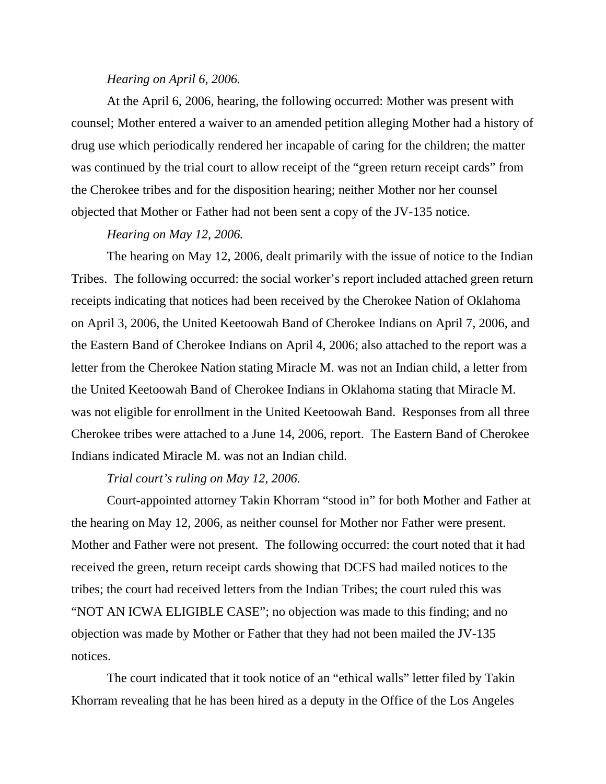#### *Hearing on April 6, 2006.*

At the April 6, 2006, hearing, the following occurred: Mother was present with counsel; Mother entered a waiver to an amended petition alleging Mother had a history of drug use which periodically rendered her incapable of caring for the children; the matter was continued by the trial court to allow receipt of the "green return receipt cards" from the Cherokee tribes and for the disposition hearing; neither Mother nor her counsel objected that Mother or Father had not been sent a copy of the JV-135 notice.

#### *Hearing on May 12, 2006.*

The hearing on May 12, 2006, dealt primarily with the issue of notice to the Indian Tribes. The following occurred: the social worker's report included attached green return receipts indicating that notices had been received by the Cherokee Nation of Oklahoma on April 3, 2006, the United Keetoowah Band of Cherokee Indians on April 7, 2006, and the Eastern Band of Cherokee Indians on April 4, 2006; also attached to the report was a letter from the Cherokee Nation stating Miracle M. was not an Indian child, a letter from the United Keetoowah Band of Cherokee Indians in Oklahoma stating that Miracle M. was not eligible for enrollment in the United Keetoowah Band. Responses from all three Cherokee tribes were attached to a June 14, 2006, report. The Eastern Band of Cherokee Indians indicated Miracle M. was not an Indian child.

#### *Trial court's ruling on May 12, 2006.*

Court-appointed attorney Takin Khorram "stood in" for both Mother and Father at the hearing on May 12, 2006, as neither counsel for Mother nor Father were present. Mother and Father were not present. The following occurred: the court noted that it had received the green, return receipt cards showing that DCFS had mailed notices to the tribes; the court had received letters from the Indian Tribes; the court ruled this was "NOT AN ICWA ELIGIBLE CASE"; no objection was made to this finding; and no objection was made by Mother or Father that they had not been mailed the JV-135 notices.

 The court indicated that it took notice of an "ethical walls" letter filed by Takin Khorram revealing that he has been hired as a deputy in the Office of the Los Angeles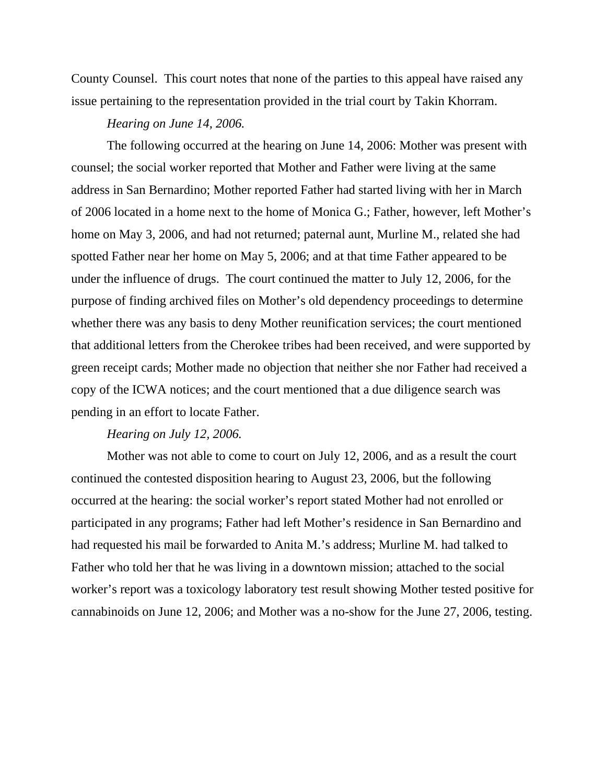County Counsel. This court notes that none of the parties to this appeal have raised any issue pertaining to the representation provided in the trial court by Takin Khorram.

#### *Hearing on June 14, 2006.*

The following occurred at the hearing on June 14, 2006: Mother was present with counsel; the social worker reported that Mother and Father were living at the same address in San Bernardino; Mother reported Father had started living with her in March of 2006 located in a home next to the home of Monica G.; Father, however, left Mother's home on May 3, 2006, and had not returned; paternal aunt, Murline M., related she had spotted Father near her home on May 5, 2006; and at that time Father appeared to be under the influence of drugs. The court continued the matter to July 12, 2006, for the purpose of finding archived files on Mother's old dependency proceedings to determine whether there was any basis to deny Mother reunification services; the court mentioned that additional letters from the Cherokee tribes had been received, and were supported by green receipt cards; Mother made no objection that neither she nor Father had received a copy of the ICWA notices; and the court mentioned that a due diligence search was pending in an effort to locate Father.

#### *Hearing on July 12, 2006.*

Mother was not able to come to court on July 12, 2006, and as a result the court continued the contested disposition hearing to August 23, 2006, but the following occurred at the hearing: the social worker's report stated Mother had not enrolled or participated in any programs; Father had left Mother's residence in San Bernardino and had requested his mail be forwarded to Anita M.'s address; Murline M. had talked to Father who told her that he was living in a downtown mission; attached to the social worker's report was a toxicology laboratory test result showing Mother tested positive for cannabinoids on June 12, 2006; and Mother was a no-show for the June 27, 2006, testing.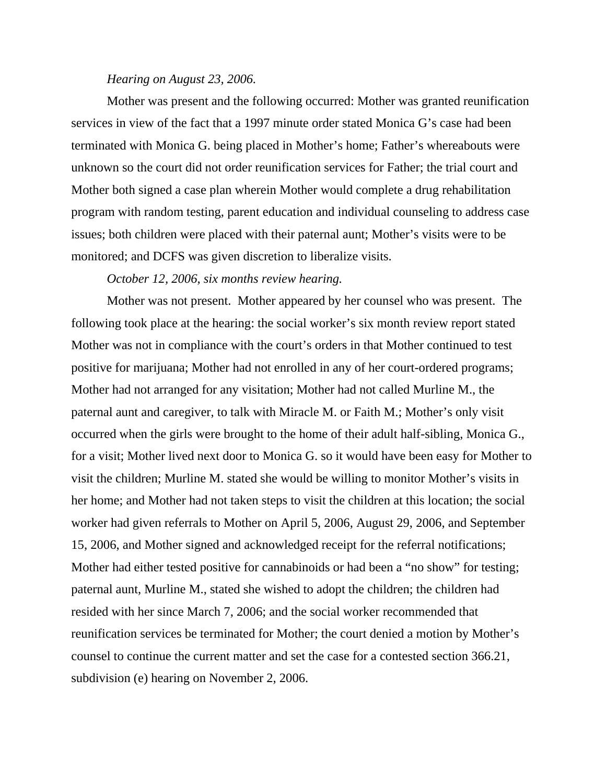#### *Hearing on August 23, 2006.*

Mother was present and the following occurred: Mother was granted reunification services in view of the fact that a 1997 minute order stated Monica G's case had been terminated with Monica G. being placed in Mother's home; Father's whereabouts were unknown so the court did not order reunification services for Father; the trial court and Mother both signed a case plan wherein Mother would complete a drug rehabilitation program with random testing, parent education and individual counseling to address case issues; both children were placed with their paternal aunt; Mother's visits were to be monitored; and DCFS was given discretion to liberalize visits.

## *October 12, 2006, six months review hearing.*

Mother was not present. Mother appeared by her counsel who was present. The following took place at the hearing: the social worker's six month review report stated Mother was not in compliance with the court's orders in that Mother continued to test positive for marijuana; Mother had not enrolled in any of her court-ordered programs; Mother had not arranged for any visitation; Mother had not called Murline M., the paternal aunt and caregiver, to talk with Miracle M. or Faith M.; Mother's only visit occurred when the girls were brought to the home of their adult half-sibling, Monica G., for a visit; Mother lived next door to Monica G. so it would have been easy for Mother to visit the children; Murline M. stated she would be willing to monitor Mother's visits in her home; and Mother had not taken steps to visit the children at this location; the social worker had given referrals to Mother on April 5, 2006, August 29, 2006, and September 15, 2006, and Mother signed and acknowledged receipt for the referral notifications; Mother had either tested positive for cannabinoids or had been a "no show" for testing; paternal aunt, Murline M., stated she wished to adopt the children; the children had resided with her since March 7, 2006; and the social worker recommended that reunification services be terminated for Mother; the court denied a motion by Mother's counsel to continue the current matter and set the case for a contested section 366.21, subdivision (e) hearing on November 2, 2006.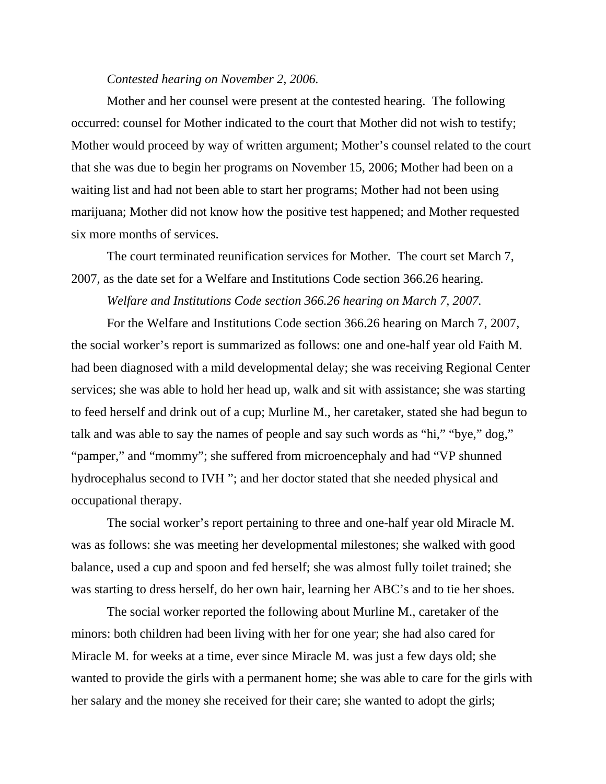#### *Contested hearing on November 2, 2006.*

Mother and her counsel were present at the contested hearing. The following occurred: counsel for Mother indicated to the court that Mother did not wish to testify; Mother would proceed by way of written argument; Mother's counsel related to the court that she was due to begin her programs on November 15, 2006; Mother had been on a waiting list and had not been able to start her programs; Mother had not been using marijuana; Mother did not know how the positive test happened; and Mother requested six more months of services.

 The court terminated reunification services for Mother. The court set March 7, 2007, as the date set for a Welfare and Institutions Code section 366.26 hearing.

*Welfare and Institutions Code section 366.26 hearing on March 7, 2007.* 

For the Welfare and Institutions Code section 366.26 hearing on March 7, 2007, the social worker's report is summarized as follows: one and one-half year old Faith M. had been diagnosed with a mild developmental delay; she was receiving Regional Center services; she was able to hold her head up, walk and sit with assistance; she was starting to feed herself and drink out of a cup; Murline M., her caretaker, stated she had begun to talk and was able to say the names of people and say such words as "hi," "bye," dog," "pamper," and "mommy"; she suffered from microencephaly and had "VP shunned hydrocephalus second to IVH "; and her doctor stated that she needed physical and occupational therapy.

 The social worker's report pertaining to three and one-half year old Miracle M. was as follows: she was meeting her developmental milestones; she walked with good balance, used a cup and spoon and fed herself; she was almost fully toilet trained; she was starting to dress herself, do her own hair, learning her ABC's and to tie her shoes.

 The social worker reported the following about Murline M., caretaker of the minors: both children had been living with her for one year; she had also cared for Miracle M. for weeks at a time, ever since Miracle M. was just a few days old; she wanted to provide the girls with a permanent home; she was able to care for the girls with her salary and the money she received for their care; she wanted to adopt the girls;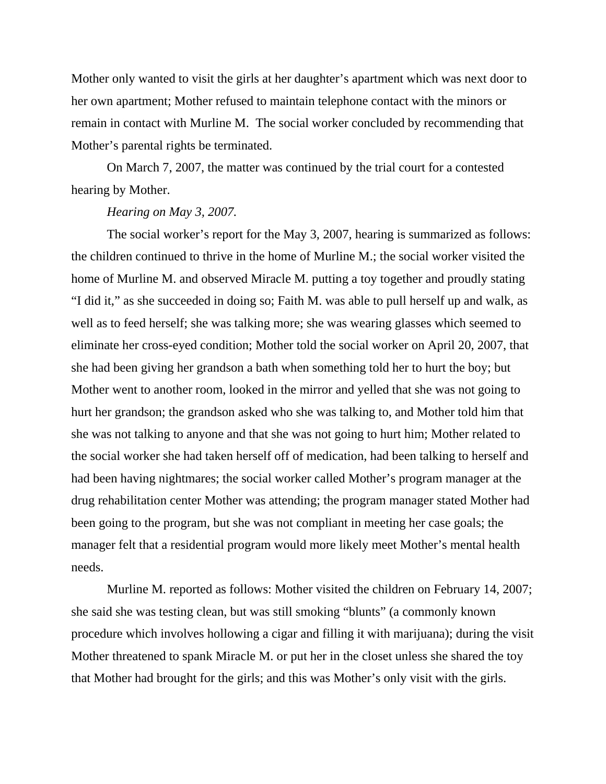Mother only wanted to visit the girls at her daughter's apartment which was next door to her own apartment; Mother refused to maintain telephone contact with the minors or remain in contact with Murline M. The social worker concluded by recommending that Mother's parental rights be terminated.

 On March 7, 2007, the matter was continued by the trial court for a contested hearing by Mother.

## *Hearing on May 3, 2007.*

The social worker's report for the May 3, 2007, hearing is summarized as follows: the children continued to thrive in the home of Murline M.; the social worker visited the home of Murline M. and observed Miracle M. putting a toy together and proudly stating "I did it," as she succeeded in doing so; Faith M. was able to pull herself up and walk, as well as to feed herself; she was talking more; she was wearing glasses which seemed to eliminate her cross-eyed condition; Mother told the social worker on April 20, 2007, that she had been giving her grandson a bath when something told her to hurt the boy; but Mother went to another room, looked in the mirror and yelled that she was not going to hurt her grandson; the grandson asked who she was talking to, and Mother told him that she was not talking to anyone and that she was not going to hurt him; Mother related to the social worker she had taken herself off of medication, had been talking to herself and had been having nightmares; the social worker called Mother's program manager at the drug rehabilitation center Mother was attending; the program manager stated Mother had been going to the program, but she was not compliant in meeting her case goals; the manager felt that a residential program would more likely meet Mother's mental health needs.

 Murline M. reported as follows: Mother visited the children on February 14, 2007; she said she was testing clean, but was still smoking "blunts" (a commonly known procedure which involves hollowing a cigar and filling it with marijuana); during the visit Mother threatened to spank Miracle M. or put her in the closet unless she shared the toy that Mother had brought for the girls; and this was Mother's only visit with the girls.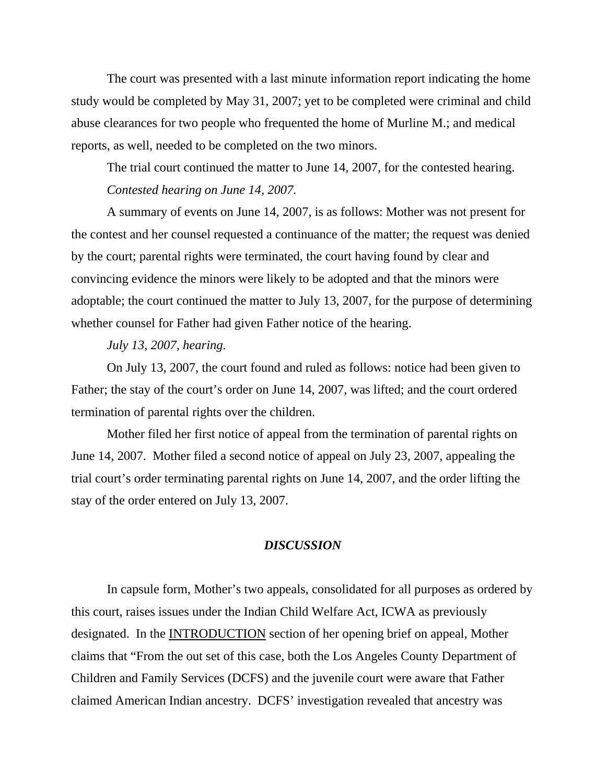The court was presented with a last minute information report indicating the home study would be completed by May 31, 2007; yet to be completed were criminal and child abuse clearances for two people who frequented the home of Murline M.; and medical reports, as well, needed to be completed on the two minors.

 The trial court continued the matter to June 14, 2007, for the contested hearing. *Contested hearing on June 14, 2007.* 

A summary of events on June 14, 2007, is as follows: Mother was not present for the contest and her counsel requested a continuance of the matter; the request was denied by the court; parental rights were terminated, the court having found by clear and convincing evidence the minors were likely to be adopted and that the minors were adoptable; the court continued the matter to July 13, 2007, for the purpose of determining whether counsel for Father had given Father notice of the hearing.

*July 13, 2007, hearing.* 

On July 13, 2007, the court found and ruled as follows: notice had been given to Father; the stay of the court's order on June 14, 2007, was lifted; and the court ordered termination of parental rights over the children.

 Mother filed her first notice of appeal from the termination of parental rights on June 14, 2007. Mother filed a second notice of appeal on July 23, 2007, appealing the trial court's order terminating parental rights on June 14, 2007, and the order lifting the stay of the order entered on July 13, 2007.

## *DISCUSSION*

In capsule form, Mother's two appeals, consolidated for all purposes as ordered by this court, raises issues under the Indian Child Welfare Act, ICWA as previously designated. In the INTRODUCTION section of her opening brief on appeal, Mother claims that "From the out set of this case, both the Los Angeles County Department of Children and Family Services (DCFS) and the juvenile court were aware that Father claimed American Indian ancestry. DCFS' investigation revealed that ancestry was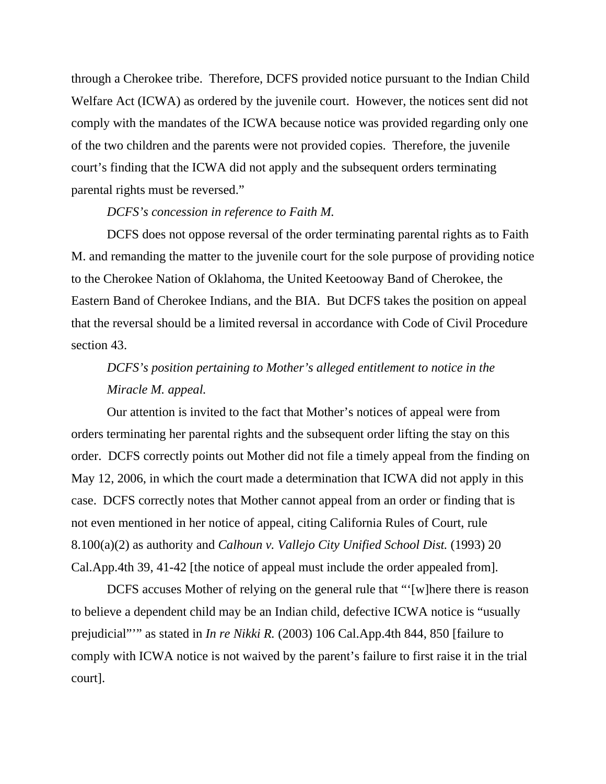through a Cherokee tribe. Therefore, DCFS provided notice pursuant to the Indian Child Welfare Act (ICWA) as ordered by the juvenile court. However, the notices sent did not comply with the mandates of the ICWA because notice was provided regarding only one of the two children and the parents were not provided copies. Therefore, the juvenile court's finding that the ICWA did not apply and the subsequent orders terminating parental rights must be reversed."

## *DCFS's concession in reference to Faith M.*

DCFS does not oppose reversal of the order terminating parental rights as to Faith M. and remanding the matter to the juvenile court for the sole purpose of providing notice to the Cherokee Nation of Oklahoma, the United Keetooway Band of Cherokee, the Eastern Band of Cherokee Indians, and the BIA. But DCFS takes the position on appeal that the reversal should be a limited reversal in accordance with Code of Civil Procedure section 43.

# *DCFS's position pertaining to Mother's alleged entitlement to notice in the Miracle M. appeal.*

Our attention is invited to the fact that Mother's notices of appeal were from orders terminating her parental rights and the subsequent order lifting the stay on this order. DCFS correctly points out Mother did not file a timely appeal from the finding on May 12, 2006, in which the court made a determination that ICWA did not apply in this case. DCFS correctly notes that Mother cannot appeal from an order or finding that is not even mentioned in her notice of appeal, citing California Rules of Court, rule 8.100(a)(2) as authority and *Calhoun v. Vallejo City Unified School Dist.* (1993) 20 Cal.App.4th 39, 41-42 [the notice of appeal must include the order appealed from].

 DCFS accuses Mother of relying on the general rule that "'[w]here there is reason to believe a dependent child may be an Indian child, defective ICWA notice is "usually prejudicial"'" as stated in *In re Nikki R.* (2003) 106 Cal.App.4th 844, 850 [failure to comply with ICWA notice is not waived by the parent's failure to first raise it in the trial court].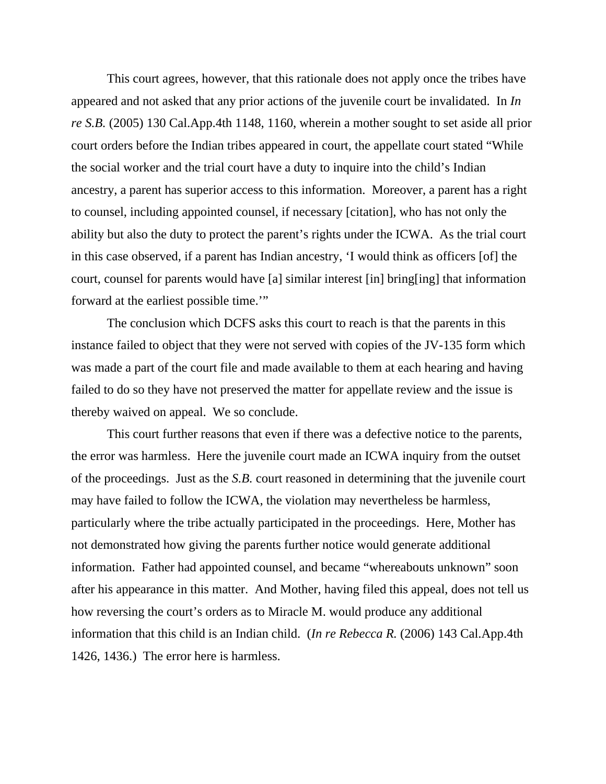This court agrees, however, that this rationale does not apply once the tribes have appeared and not asked that any prior actions of the juvenile court be invalidated. In *In re S.B.* (2005) 130 Cal.App.4th 1148, 1160, wherein a mother sought to set aside all prior court orders before the Indian tribes appeared in court, the appellate court stated "While the social worker and the trial court have a duty to inquire into the child's Indian ancestry, a parent has superior access to this information. Moreover, a parent has a right to counsel, including appointed counsel, if necessary [citation], who has not only the ability but also the duty to protect the parent's rights under the ICWA. As the trial court in this case observed, if a parent has Indian ancestry, 'I would think as officers [of] the court, counsel for parents would have [a] similar interest [in] bring[ing] that information forward at the earliest possible time.'"

 The conclusion which DCFS asks this court to reach is that the parents in this instance failed to object that they were not served with copies of the JV-135 form which was made a part of the court file and made available to them at each hearing and having failed to do so they have not preserved the matter for appellate review and the issue is thereby waived on appeal. We so conclude.

 This court further reasons that even if there was a defective notice to the parents, the error was harmless. Here the juvenile court made an ICWA inquiry from the outset of the proceedings. Just as the *S.B.* court reasoned in determining that the juvenile court may have failed to follow the ICWA, the violation may nevertheless be harmless, particularly where the tribe actually participated in the proceedings. Here, Mother has not demonstrated how giving the parents further notice would generate additional information. Father had appointed counsel, and became "whereabouts unknown" soon after his appearance in this matter. And Mother, having filed this appeal, does not tell us how reversing the court's orders as to Miracle M. would produce any additional information that this child is an Indian child. (*In re Rebecca R.* (2006) 143 Cal.App.4th 1426, 1436.) The error here is harmless.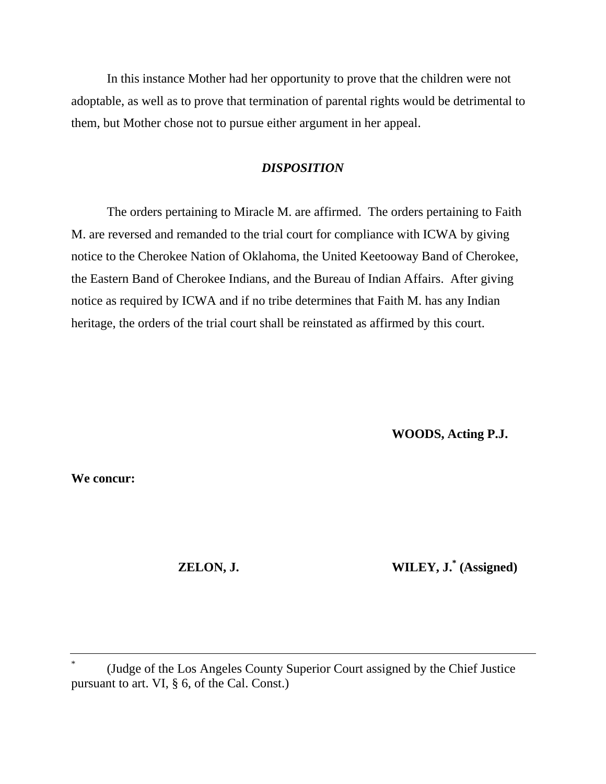In this instance Mother had her opportunity to prove that the children were not adoptable, as well as to prove that termination of parental rights would be detrimental to them, but Mother chose not to pursue either argument in her appeal.

## *DISPOSITION*

The orders pertaining to Miracle M. are affirmed. The orders pertaining to Faith M. are reversed and remanded to the trial court for compliance with ICWA by giving notice to the Cherokee Nation of Oklahoma, the United Keetooway Band of Cherokee, the Eastern Band of Cherokee Indians, and the Bureau of Indian Affairs. After giving notice as required by ICWA and if no tribe determines that Faith M. has any Indian heritage, the orders of the trial court shall be reinstated as affirmed by this court.

 **WOODS, Acting P.J.** 

**We concur:** 

 **ZELON, J.** WILEY, J.<sup>\*</sup> (Assigned)

<sup>\*</sup> (Judge of the Los Angeles County Superior Court assigned by the Chief Justice pursuant to art. VI, § 6, of the Cal. Const.)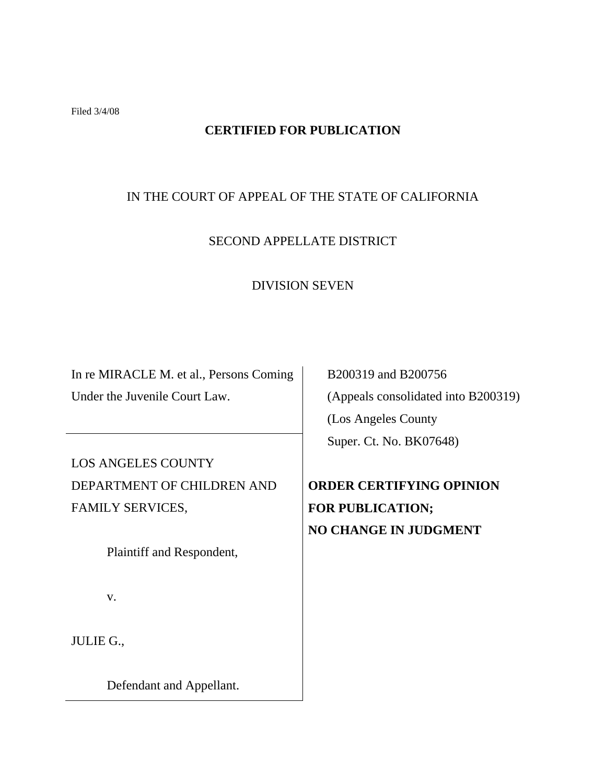Filed 3/4/08

# **CERTIFIED FOR PUBLICATION**

# IN THE COURT OF APPEAL OF THE STATE OF CALIFORNIA

# SECOND APPELLATE DISTRICT

## DIVISION SEVEN

In re MIRACLE M. et al., Persons Coming Under the Juvenile Court Law.

LOS ANGELES COUNTY DEPARTMENT OF CHILDREN AND FAMILY SERVICES,

Plaintiff and Respondent,

v.

JULIE G.,

Defendant and Appellant.

 B200319 and B200756 (Appeals consolidated into B200319) (Los Angeles County Super. Ct. No. BK07648)

**ORDER CERTIFYING OPINION FOR PUBLICATION; NO CHANGE IN JUDGMENT**